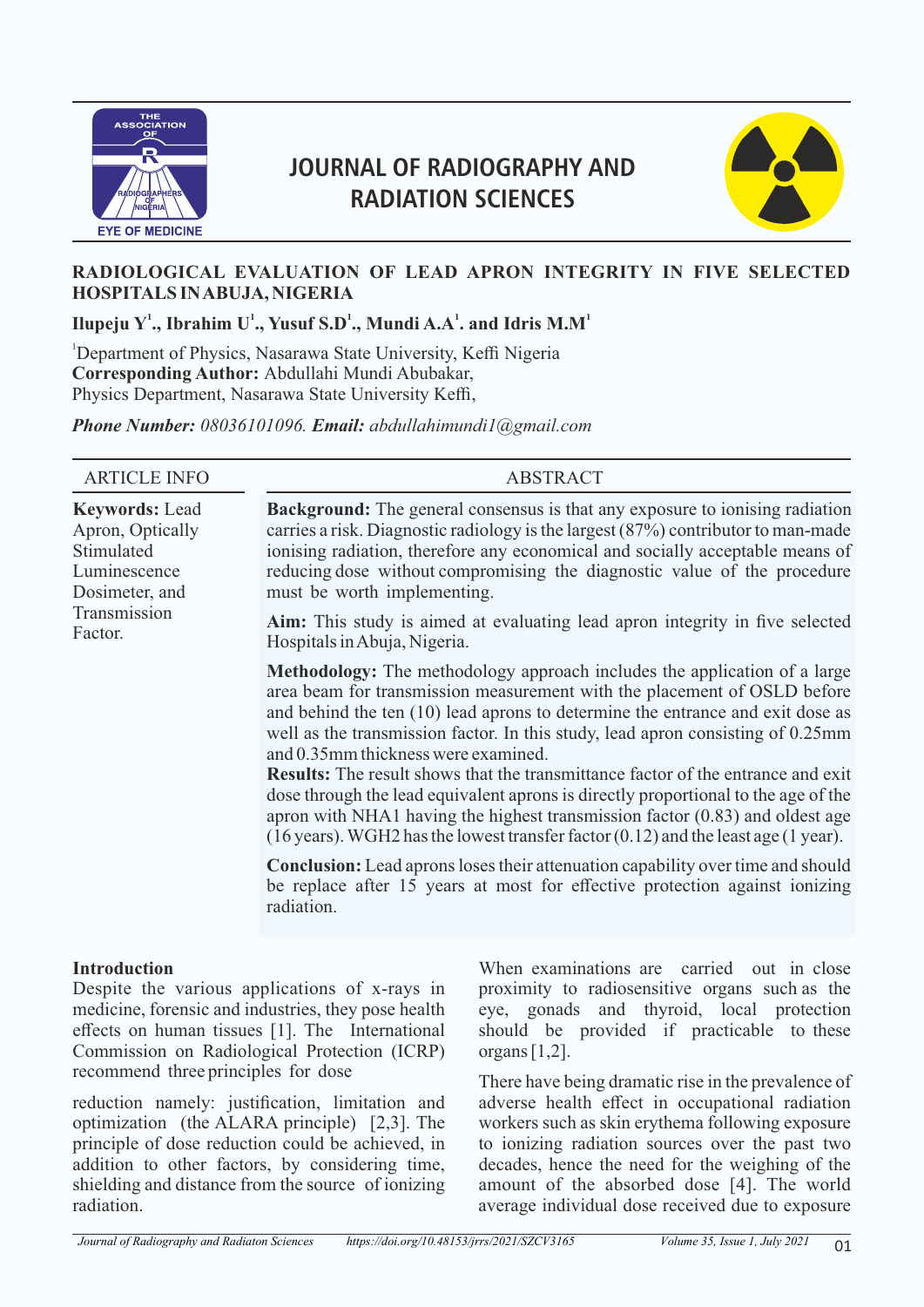

# **JOURNAL OF RADIOGRAPHY AND RADIATION SCIENCES**



# **RADIOLOGICAL EVALUATION OF LEAD APRON INTEGRITY IN FIVE SELECTED HOSPITALS IN ABUJA, NIGERIA**

 $\bf I$ lupeju  $\bf Y^1$ ., Ibrahim  $\bf U^1$ ., Yusuf S.D $^1$ ., Mundi A.A $^1$ . and Idris M.M $^1$ 

<sup>1</sup>Department of Physics, Nasarawa State University, Keffi Nigeria **Corresponding Author:** Abdullahi Mundi Abubakar, Physics Department, Nasarawa State University Keffi,

*Phone Number: 08036101096. Email: abdullahimundi1@gmail.com*

| <b>ARTICLE INFO</b>                                                                                                  | <b>ABSTRACT</b>                                                                                                                                                                                                                                                                                                                                                                                                                                                                                                                                                                                                                                                                                                                                           |  |  |  |  |
|----------------------------------------------------------------------------------------------------------------------|-----------------------------------------------------------------------------------------------------------------------------------------------------------------------------------------------------------------------------------------------------------------------------------------------------------------------------------------------------------------------------------------------------------------------------------------------------------------------------------------------------------------------------------------------------------------------------------------------------------------------------------------------------------------------------------------------------------------------------------------------------------|--|--|--|--|
| <b>Keywords: Lead</b><br>Apron, Optically<br>Stimulated<br>Luminescence<br>Dosimeter, and<br>Transmission<br>Factor. | <b>Background:</b> The general consensus is that any exposure to ionising radiation<br>carries a risk. Diagnostic radiology is the largest $(87%)$ contributor to man-made<br>ionising radiation, therefore any economical and socially acceptable means of<br>reducing dose without compromising the diagnostic value of the procedure<br>must be worth implementing.                                                                                                                                                                                                                                                                                                                                                                                    |  |  |  |  |
|                                                                                                                      | <b>Aim:</b> This study is aimed at evaluating lead apron integrity in five selected<br>Hospitals in Abuja, Nigeria.                                                                                                                                                                                                                                                                                                                                                                                                                                                                                                                                                                                                                                       |  |  |  |  |
|                                                                                                                      | <b>Methodology:</b> The methodology approach includes the application of a large<br>area beam for transmission measurement with the placement of OSLD before<br>and behind the ten (10) lead aprons to determine the entrance and exit dose as<br>well as the transmission factor. In this study, lead apron consisting of 0.25mm<br>and 0.35mm thickness were examined.<br><b>Results:</b> The result shows that the transmittance factor of the entrance and exit<br>dose through the lead equivalent aprons is directly proportional to the age of the<br>apron with NHA1 having the highest transmission factor $(0.83)$ and oldest age<br>$(16 \text{ years})$ . WGH2 has the lowest transfer factor $(0.12)$ and the least age $(1 \text{ year})$ . |  |  |  |  |
|                                                                                                                      | <b>Conclusion:</b> Lead aprons loses their attenuation capability over time and should<br>be replace after 15 years at most for effective protection against ionizing<br>radiation.                                                                                                                                                                                                                                                                                                                                                                                                                                                                                                                                                                       |  |  |  |  |

#### **Introduction**

Despite the various applications of x-rays in medicine, forensic and industries, they pose health effects on human tissues [1]. The International Commission on Radiological Protection (ICRP) recommend three principles for dose

reduction namely: justification, limitation and optimization (the ALARA principle) [2,3]. The principle of dose reduction could be achieved, in addition to other factors, by considering time, shielding and distance from the source of ionizing radiation.

When examinations are carried out in close proximity to radiosensitive organs such as the eye, gonads and thyroid, local protection should be provided if practicable to these organs [1,2].

There have being dramatic rise in the prevalence of adverse health effect in occupational radiation workers such as skin erythema following exposure to ionizing radiation sources over the past two decades, hence the need for the weighing of the amount of the absorbed dose [4]. The world average individual dose received due to exposure

*Journal of Radiography and Radiaton Sciences https://doi.org/10.48153/jrrs/2021/SZCV3165 Volume 35, Issue 1, July 2021*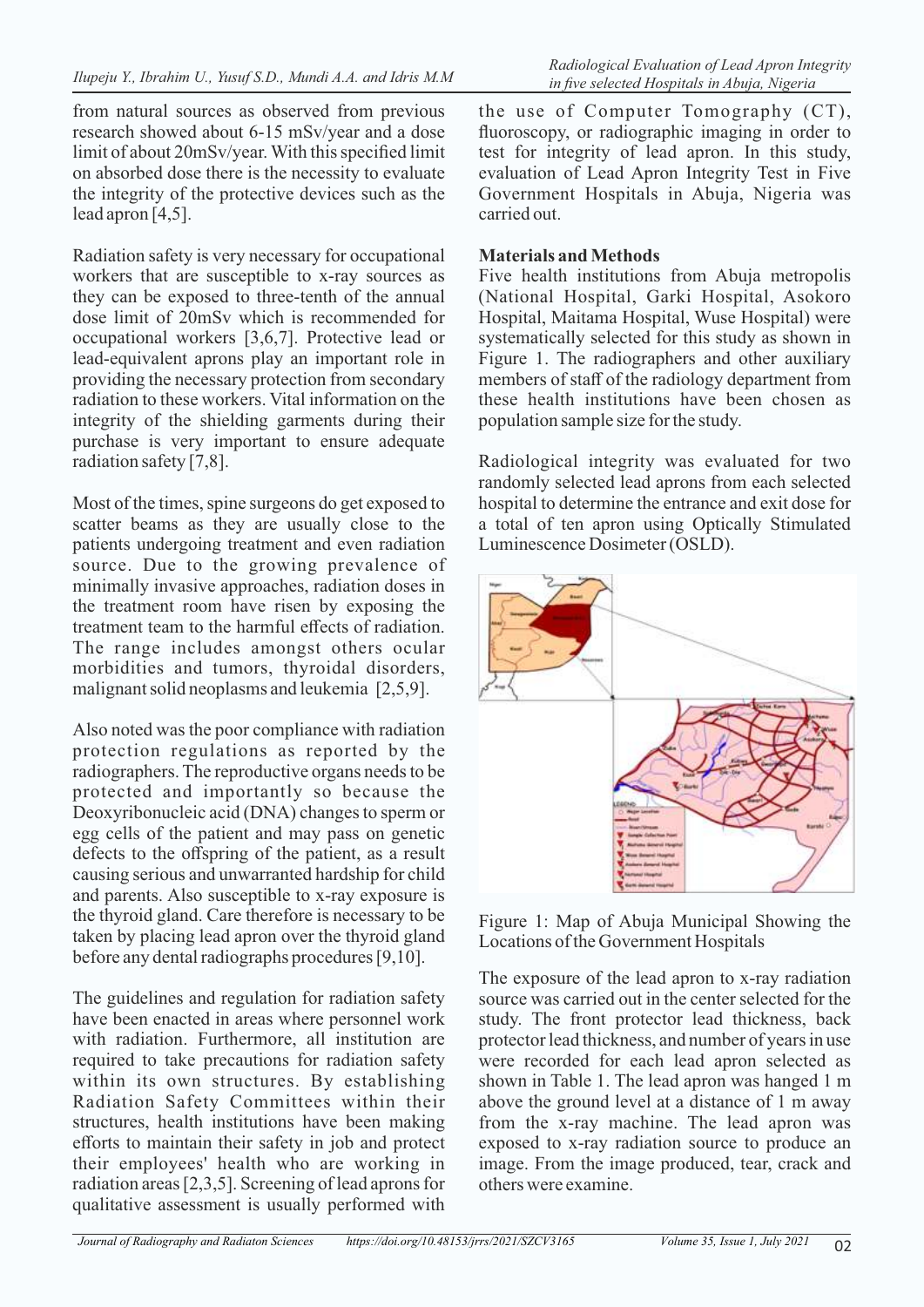from natural sources as observed from previous research showed about 6-15 mSv/year and a dose limit of about 20mSv/year. With this specified limit on absorbed dose there is the necessity to evaluate the integrity of the protective devices such as the lead apron [4,5].

Radiation safety is very necessary for occupational workers that are susceptible to x-ray sources as they can be exposed to three-tenth of the annual dose limit of 20mSv which is recommended for occupational workers [3,6,7]. Protective lead or lead-equivalent aprons play an important role in providing the necessary protection from secondary radiation to these workers. Vital information on the integrity of the shielding garments during their purchase is very important to ensure adequate radiation safety [7,8].

Most of the times, spine surgeons do get exposed to scatter beams as they are usually close to the patients undergoing treatment and even radiation source. Due to the growing prevalence of minimally invasive approaches, radiation doses in the treatment room have risen by exposing the treatment team to the harmful effects of radiation. The range includes amongst others ocular morbidities and tumors, thyroidal disorders, malignant solid neoplasms and leukemia [2,5,9].

Also noted was the poor compliance with radiation protection regulations as reported by the radiographers. The reproductive organs needs to be protected and importantly so because the Deoxyribonucleic acid (DNA) changes to sperm or egg cells of the patient and may pass on genetic defects to the offspring of the patient, as a result causing serious and unwarranted hardship for child and parents. Also susceptible to x-ray exposure is the thyroid gland. Care therefore is necessary to be taken by placing lead apron over the thyroid gland before any dental radiographs procedures [9,10].

The guidelines and regulation for radiation safety have been enacted in areas where personnel work with radiation. Furthermore, all institution are required to take precautions for radiation safety within its own structures. By establishing Radiation Safety Committees within their structures, health institutions have been making efforts to maintain their safety in job and protect their employees' health who are working in radiation areas [2,3,5]. Screening of lead aprons for qualitative assessment is usually performed with

the use of Computer Tomography (CT), fluoroscopy, or radiographic imaging in order to test for integrity of lead apron. In this study, evaluation of Lead Apron Integrity Test in Five Government Hospitals in Abuja, Nigeria was carried out.

# **Materials and Methods**

Five health institutions from Abuja metropolis (National Hospital, Garki Hospital, Asokoro Hospital, Maitama Hospital, Wuse Hospital) were systematically selected for this study as shown in Figure 1. The radiographers and other auxiliary members of staff of the radiology department from these health institutions have been chosen as population sample size for the study.

Radiological integrity was evaluated for two randomly selected lead aprons from each selected hospital to determine the entrance and exit dose for a total of ten apron using Optically Stimulated Luminescence Dosimeter (OSLD).



Figure 1: Map of Abuja Municipal Showing the Locations of the Government Hospitals

The exposure of the lead apron to x-ray radiation source was carried out in the center selected for the study. The front protector lead thickness, back protector lead thickness, and number of years in use were recorded for each lead apron selected as shown in Table 1. The lead apron was hanged 1 m above the ground level at a distance of 1 m away from the x-ray machine. The lead apron was exposed to x-ray radiation source to produce an image. From the image produced, tear, crack and others were examine.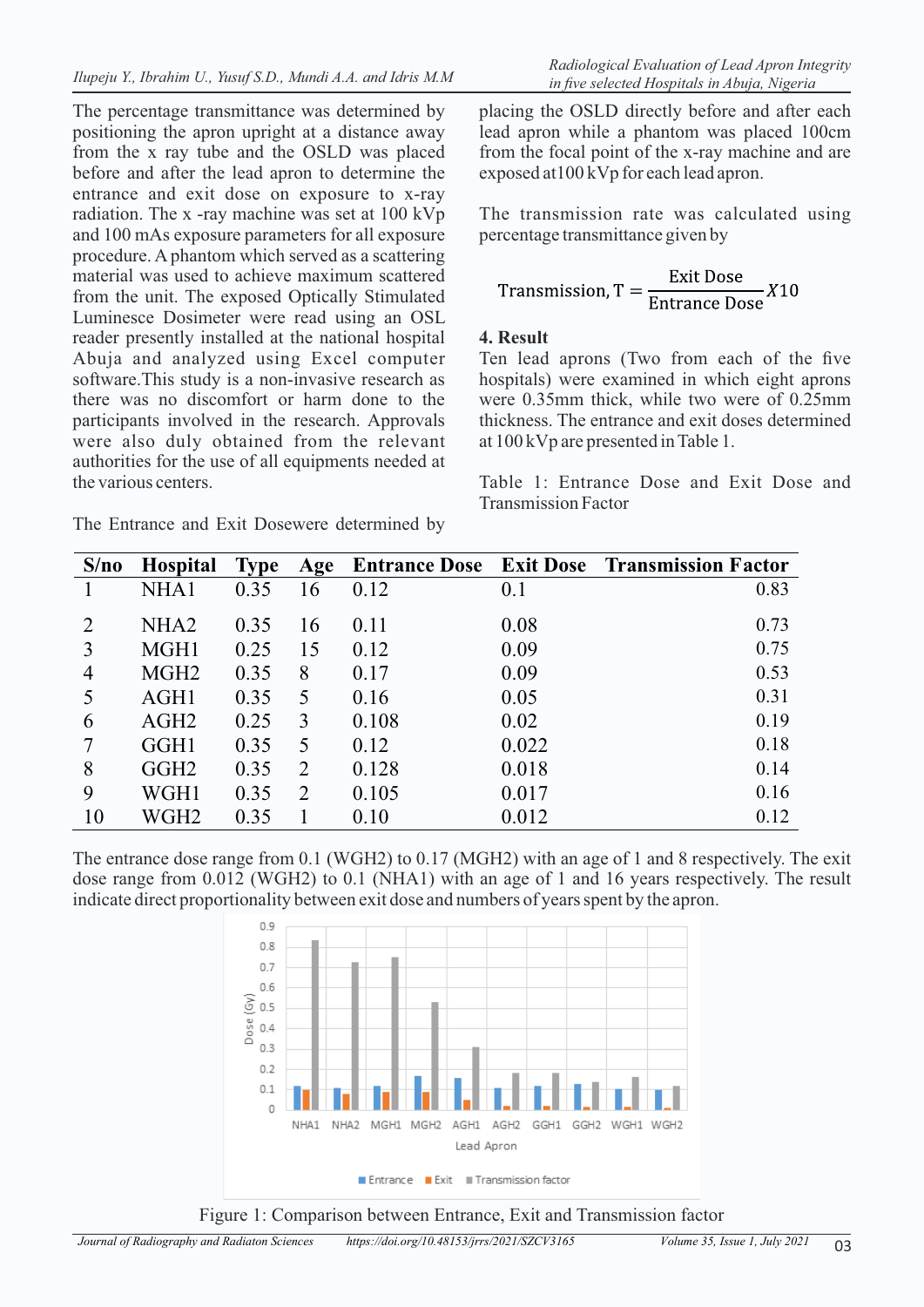The percentage transmittance was determined by positioning the apron upright at a distance away from the x ray tube and the OSLD was placed before and after the lead apron to determine the entrance and exit dose on exposure to x-ray radiation. The x -ray machine was set at 100 kVp and 100 mAs exposure parameters for all exposure procedure. A phantom which served as a scattering material was used to achieve maximum scattered from the unit. The exposed Optically Stimulated Luminesce Dosimeter were read using an OSL reader presently installed at the national hospital Abuja and analyzed using Excel computer software.This study is a non-invasive research as there was no discomfort or harm done to the participants involved in the research. Approvals were also duly obtained from the relevant authorities for the use of all equipments needed at the various centers.

|  |  |  |  |  | The Entrance and Exit Dosewere determined by |  |
|--|--|--|--|--|----------------------------------------------|--|
|--|--|--|--|--|----------------------------------------------|--|

*Radiological Evaluation of Lead Apron Integrity* 

placing the OSLD directly before and after each lead apron while a phantom was placed 100cm from the focal point of the x-ray machine and are exposed at100 kVp for each lead apron.

The transmission rate was calculated using percentage transmittance given by

$$
Transmission, T = \frac{Exit \, \text{Dose}}{\text{Entrance \, \text{Dose}}} X10
$$

#### **4. Result**

Ten lead aprons (Two from each of the five hospitals) were examined in which eight aprons were 0.35mm thick, while two were of 0.25mm thickness. The entrance and exit doses determined at 100 kVp are presented in Table 1.

Table 1: Entrance Dose and Exit Dose and Transmission Factor

| S/no           | <b>Hospital</b>  | <b>Type</b> | Age |       |       | <b>Entrance Dose</b> Exit Dose Transmission Factor |
|----------------|------------------|-------------|-----|-------|-------|----------------------------------------------------|
|                | NHA1             | 0.35        | 16  | 0.12  | 0.1   | 0.83                                               |
| 2              | NHA <sub>2</sub> | 0.35        | 16  | 0.11  | 0.08  | 0.73                                               |
| 3              | MGH1             | 0.25        | 15  | 0.12  | 0.09  | 0.75                                               |
| $\overline{4}$ | MGH <sub>2</sub> | 0.35        | 8   | 0.17  | 0.09  | 0.53                                               |
| 5              | AGH1             | 0.35        | 5   | 0.16  | 0.05  | 0.31                                               |
| 6              | AGH <sub>2</sub> | 0.25        | 3   | 0.108 | 0.02  | 0.19                                               |
| 7              | GGH1             | 0.35        | 5   | 0.12  | 0.022 | 0.18                                               |
| 8              | GGH <sub>2</sub> | 0.35        | 2   | 0.128 | 0.018 | 0.14                                               |
| 9              | WGH1             | 0.35        | 2   | 0.105 | 0.017 | 0.16                                               |
| 10             | WGH2             | 0.35        |     | 0.10  | 0.012 | 0.12                                               |

The entrance dose range from 0.1 (WGH2) to 0.17 (MGH2) with an age of 1 and 8 respectively. The exit dose range from 0.012 (WGH2) to 0.1 (NHA1) with an age of 1 and 16 years respectively. The result indicate direct proportionality between exit dose and numbers of years spent by the apron.



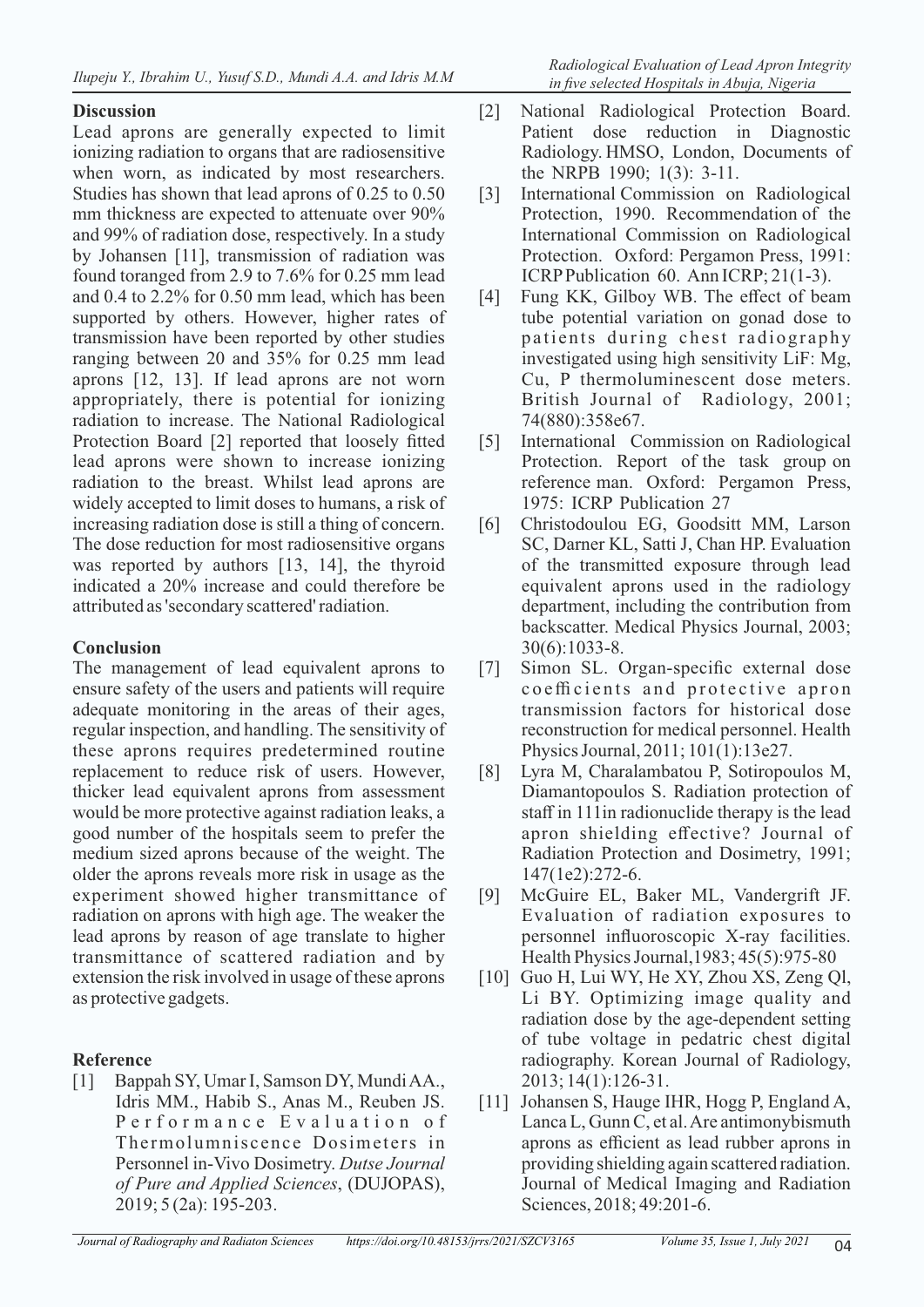## **Discussion**

Lead aprons are generally expected to limit ionizing radiation to organs that are radiosensitive when worn, as indicated by most researchers. Studies has shown that lead aprons of 0.25 to 0.50 mm thickness are expected to attenuate over 90% and 99% of radiation dose, respectively. In a study by Johansen [11], transmission of radiation was found toranged from 2.9 to 7.6% for 0.25 mm lead and 0.4 to 2.2% for 0.50 mm lead, which has been supported by others. However, higher rates of transmission have been reported by other studies ranging between 20 and 35% for 0.25 mm lead aprons [12, 13]. If lead aprons are not worn appropriately, there is potential for ionizing radiation to increase. The National Radiological Protection Board [2] reported that loosely fitted lead aprons were shown to increase ionizing radiation to the breast. Whilst lead aprons are widely accepted to limit doses to humans, a risk of increasing radiation dose is still a thing of concern. The dose reduction for most radiosensitive organs was reported by authors [13, 14], the thyroid indicated a 20% increase and could therefore be attributed as 'secondary scattered' radiation.

## **Conclusion**

The management of lead equivalent aprons to ensure safety of the users and patients will require adequate monitoring in the areas of their ages, regular inspection, and handling. The sensitivity of these aprons requires predetermined routine replacement to reduce risk of users. However, thicker lead equivalent aprons from assessment would be more protective against radiation leaks, a good number of the hospitals seem to prefer the medium sized aprons because of the weight. The older the aprons reveals more risk in usage as the experiment showed higher transmittance of radiation on aprons with high age. The weaker the lead aprons by reason of age translate to higher transmittance of scattered radiation and by extension the risk involved in usage of these aprons as protective gadgets.

# **Reference**

[1] Bappah SY, Umar I, Samson DY, Mundi AA., Idris MM., Habib S., Anas M., Reuben JS. P er formance Evaluation of Thermolumniscence Dosimeters in Personnel in-Vivo Dosimetry. *Dutse Journal of Pure and Applied Sciences*, (DUJOPAS), 2019; 5 (2a): 195-203.

- [2] National Radiological Protection Board. Patient dose reduction in Diagnostic Radiology. HMSO, London, Documents of the NRPB 1990; 1(3): 3-11.
- [3] International Commission on Radiological Protection, 1990. Recommendation of the International Commission on Radiological Protection. Oxford: Pergamon Press, 1991: ICRP Publication 60. Ann ICRP; 21(1-3).
- [4] Fung KK, Gilboy WB. The effect of beam tube potential variation on gonad dose to patients during chest radiography investigated using high sensitivity LiF: Mg, Cu, P thermoluminescent dose meters. British Journal of Radiology, 2001; 74(880):358e67.
- [5] International Commission on Radiological Protection. Report of the task group on reference man. Oxford: Pergamon Press, 1975: ICRP Publication 27
- [6] Christodoulou EG, Goodsitt MM, Larson SC, Darner KL, Satti J, Chan HP. Evaluation of the transmitted exposure through lead equivalent aprons used in the radiology department, including the contribution from backscatter. Medical Physics Journal, 2003; 30(6):1033-8.
- [7] Simon SL. Organ-specific external dose coefficients and protective apron transmission factors for historical dose reconstruction for medical personnel. Health Physics Journal, 2011; 101(1):13e27.
- [8] Lyra M, Charalambatou P, Sotiropoulos M, Diamantopoulos S. Radiation protection of staff in 111in radionuclide therapy is the lead apron shielding effective? Journal of Radiation Protection and Dosimetry, 1991; 147(1e2):272-6.
- [9] McGuire EL, Baker ML, Vandergrift JF. Evaluation of radiation exposures to personnel influoroscopic X-ray facilities. Health Physics Journal,1983; 45(5):975-80
- [10] Guo H, Lui WY, He XY, Zhou XS, Zeng Ql, Li BY. Optimizing image quality and radiation dose by the age-dependent setting of tube voltage in pedatric chest digital radiography. Korean Journal of Radiology, 2013; 14(1):126-31.
- [11] Johansen S, Hauge IHR, Hogg P, England A, Lanca L, Gunn C, et al. Are antimonybismuth aprons as efficient as lead rubber aprons in providing shielding again scattered radiation. Journal of Medical Imaging and Radiation Sciences, 2018; 49:201-6.

*Journal of Radiography and Radiaton Sciences https://doi.org/10.48153/jrrs/2021/SZCV3165 Volume 35, Issue 1, July 2021*